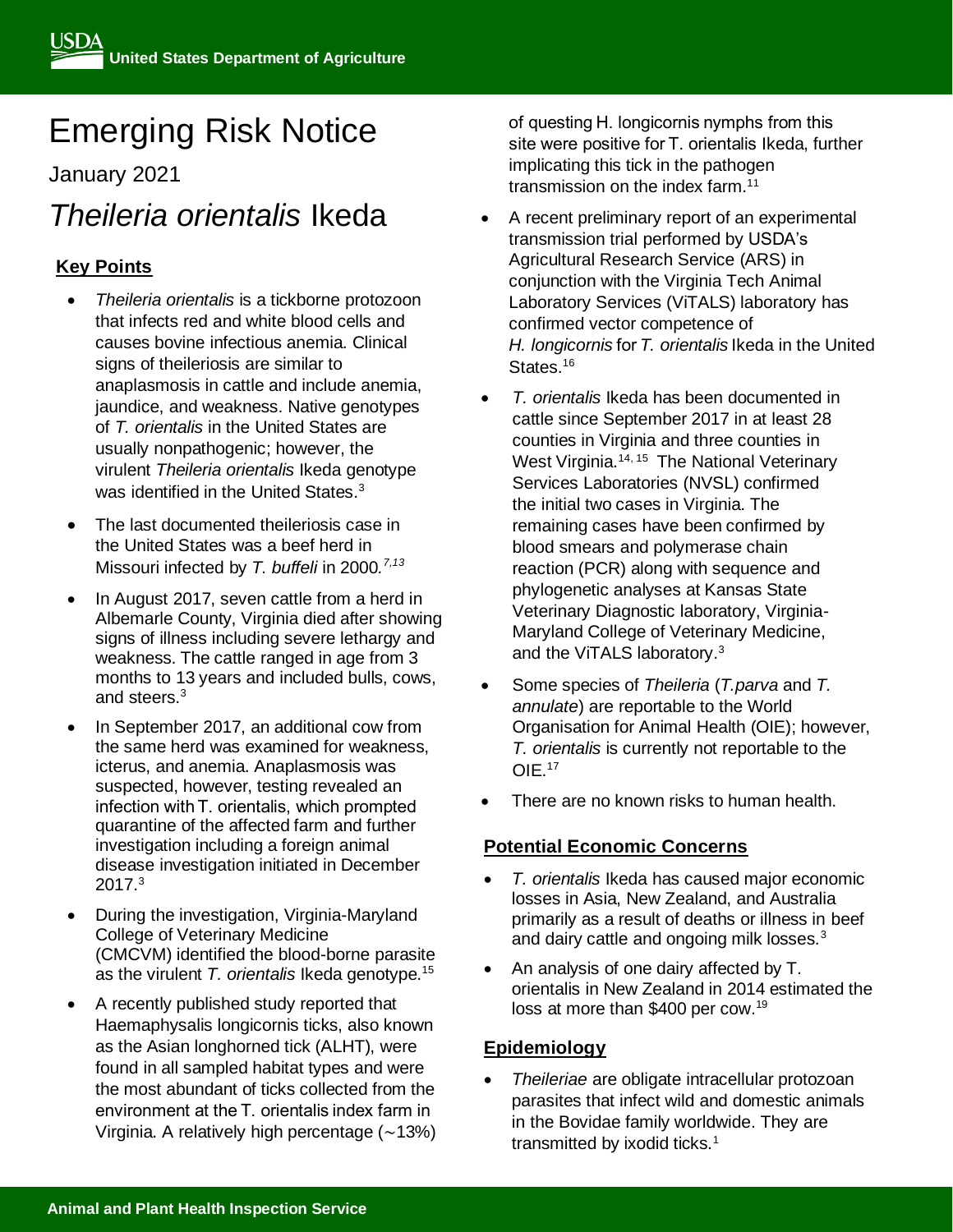# Emerging Risk Notice

January 2021

## *Theileria orientalis* Ikeda

### **Key Points**

- *Theileria orientalis* is a tickborne protozoon that infects red and white blood cells and causes bovine infectious anemia. Clinical signs of theileriosis are similar to anaplasmosis in cattle and include anemia, jaundice, and weakness. Native genotypes of *T. orientalis* in the United States are usually nonpathogenic; however, the virulent *Theileria orientalis* Ikeda genotype was identified in the United States.<sup>3</sup>
- The last documented theileriosis case in the United States was a beef herd in Missouri infected by *T. buffeli* in 2000*. 7,13*
- In August 2017, seven cattle from a herd in Albemarle County, Virginia died after showing signs of illness including severe lethargy and weakness. The cattle ranged in age from 3 months to 13 years and included bulls, cows, and steers.<sup>3</sup>
- In September 2017, an additional cow from the same herd was examined for weakness, icterus, and anemia. Anaplasmosis was suspected, however, testing revealed an infection with T. orientalis, which prompted quarantine of the affected farm and further investigation including a foreign animal disease investigation initiated in December  $2017.<sup>3</sup>$
- During the investigation, Virginia-Maryland College of Veterinary Medicine (CMCVM) identified the blood-borne parasite as the virulent *T. orientalis* Ikeda genotype.<sup>15</sup>
- A recently published study reported that Haemaphysalis longicornis ticks, also known as the Asian longhorned tick (ALHT), were found in all sampled habitat types and were the most abundant of ticks collected from the environment at the T. orientalis index farm in Virginia. A relatively high percentage (∼13%)

of questing H. longicornis nymphs from this site were positive for T. orientalis Ikeda, further implicating this tick in the pathogen transmission on the index farm.<sup>11</sup>

- A recent preliminary report of an experimental transmission trial performed by USDA's Agricultural Research Service (ARS) in conjunction with the Virginia Tech Animal Laboratory Services (ViTALS) laboratory has confirmed vector competence of *H. longicornis* for *T. orientalis* Ikeda in the United States.<sup>16</sup>
- *T. orientalis* Ikeda has been documented in cattle since September 2017 in at least 28 counties in Virginia and three counties in West Virginia.<sup>14, 15</sup> The National Veterinary Services Laboratories (NVSL) confirmed the initial two cases in Virginia. The remaining cases have been confirmed by blood smears and polymerase chain reaction (PCR) along with sequence and phylogenetic analyses at Kansas State Veterinary Diagnostic laboratory, Virginia-Maryland College of Veterinary Medicine, and the ViTALS laboratory. 3
- Some species of *Theileria* (*T.parva* and *T. annulate*) are reportable to the World Organisation for Animal Health (OIE); however, *T. orientalis* is currently not reportable to the OIE.<sup>17</sup>
- There are no known risks to human health.

#### **Potential Economic Concerns**

- *T. orientalis* Ikeda has caused major economic losses in Asia, New Zealand, and Australia primarily as a result of deaths or illness in beef and dairy cattle and ongoing milk losses.<sup>3</sup>
- An analysis of one dairy affected by T. orientalis in New Zealand in 2014 estimated the loss at more than \$400 per cow.<sup>19</sup>

#### **Epidemiology**

• *Theileriae* are obligate intracellular protozoan parasites that infect wild and domestic animals in the Bovidae family worldwide. They are transmitted by ixodid ticks.<sup>1</sup>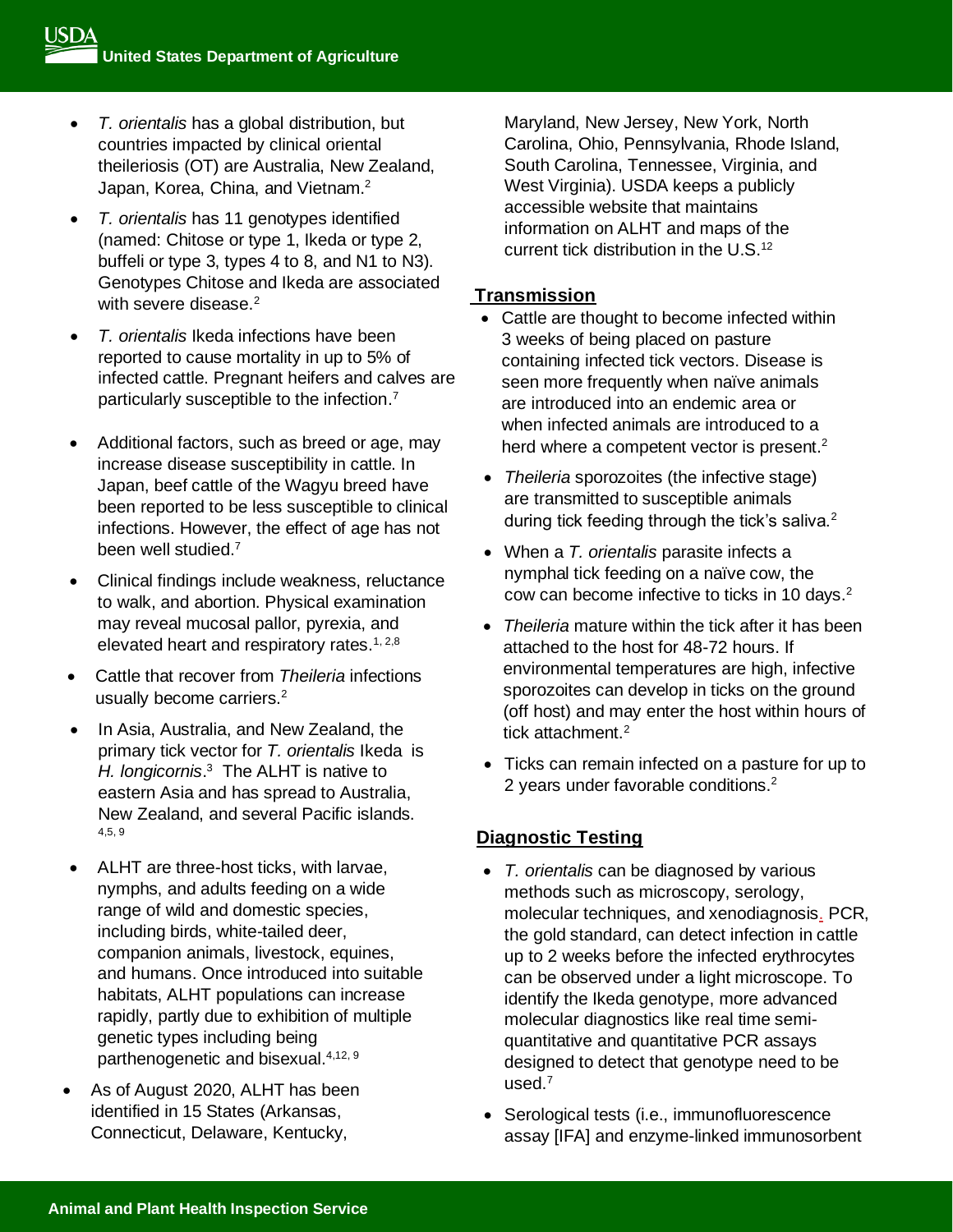- *T. orientalis* has a global distribution, but countries impacted by clinical oriental theileriosis (OT) are Australia, New Zealand, Japan, Korea, China, and Vietnam.<sup>2</sup>
- *T. orientalis* has 11 genotypes identified (named: Chitose or type 1, Ikeda or type 2, buffeli or type 3, types 4 to 8, and N1 to N3). Genotypes Chitose and Ikeda are associated with severe disease.<sup>2</sup>
- *T. orientalis* Ikeda infections have been reported to cause mortality in up to 5% of infected cattle. Pregnant heifers and calves are particularly susceptible to the infection.<sup>7</sup>
- Additional factors, such as breed or age, may increase disease susceptibility in cattle. In Japan, beef cattle of the Wagyu breed have been reported to be less susceptible to clinical infections. However, the effect of age has not been well studied.<sup>7</sup>
- Clinical findings include weakness, reluctance to walk, and abortion. Physical examination may reveal mucosal pallor, pyrexia, and elevated heart and respiratory rates.<sup>1, 2,8</sup>
- Cattle that recover from *Theileria* infections usually become carriers.<sup>2</sup>
- In Asia, Australia, and New Zealand, the primary tick vector for *T. orientalis* Ikeda is *H. longicornis*. 3 The ALHT is native to eastern Asia and has spread to Australia, New Zealand, and several Pacific islands. 4,5, 9
- ALHT are three-host ticks, with larvae, nymphs, and adults feeding on a wide range of wild and domestic species, including birds, white-tailed deer, companion animals, livestock, equines, and humans. Once introduced into suitable habitats, ALHT populations can increase rapidly, partly due to exhibition of multiple genetic types including being parthenogenetic and bisexual.4,12, 9
- As of August 2020, ALHT has been identified in 15 States (Arkansas, Connecticut, Delaware, Kentucky,

Maryland, New Jersey, New York, North Carolina, Ohio, Pennsylvania, Rhode Island, South Carolina, Tennessee, Virginia, and West Virginia). USDA keeps a publicly accessible website that maintains information on ALHT and maps of the current tick distribution in the U.S.<sup>12</sup>

#### **Transmission**

- Cattle are thought to become infected within 3 weeks of being placed on pasture containing infected tick vectors. Disease is seen more frequently when naïve animals are introduced into an endemic area or when infected animals are introduced to a herd where a competent vector is present. $2$
- *Theileria* sporozoites (the infective stage) are transmitted to susceptible animals during tick feeding through the tick's saliva. $2$
- When a *T. orientalis* parasite infects a nymphal tick feeding on a naïve cow, the cow can become infective to ticks in 10 days.<sup>2</sup>
- *Theileria* mature within the tick after it has been attached to the host for 48-72 hours. If environmental temperatures are high, infective sporozoites can develop in ticks on the ground (off host) and may enter the host within hours of tick attachment.<sup>2</sup>
- Ticks can remain infected on a pasture for up to 2 years under favorable conditions.<sup>2</sup>

#### **Diagnostic Testing**

- *T. orientalis* can be diagnosed by various methods such as microscopy, serology, molecular techniques, and xenodiagnosis. PCR, the gold standard, can detect infection in cattle up to 2 weeks before the infected erythrocytes can be observed under a light microscope. To identify the Ikeda genotype, more advanced molecular diagnostics like real time semiquantitative and quantitative PCR assays designed to detect that genotype need to be used.<sup>7</sup>
- Serological tests (i.e., immunofluorescence assay [IFA] and enzyme-linked immunosorbent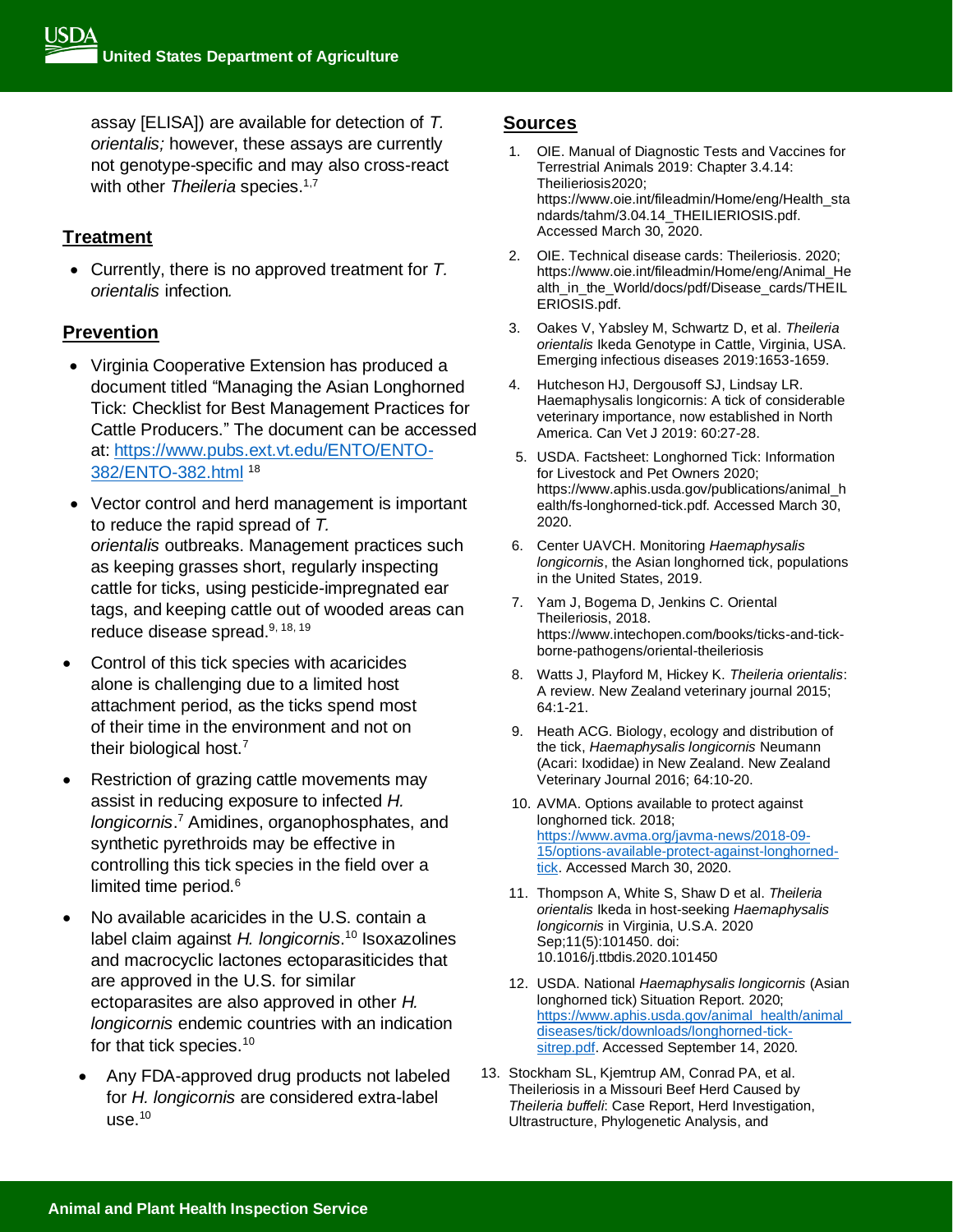assay [ELISA]) are available for detection of *T. orientalis;* however, these assays are currently not genotype-specific and may also cross-react with other *Theileria* species.<sup>1,7</sup>

#### **Treatment**

• Currently, there is no approved treatment for *T. orientalis* infection*.*

#### **Prevention**

- Virginia Cooperative Extension has produced a document titled "Managing the Asian Longhorned Tick: Checklist for Best Management Practices for Cattle Producers." The document can be accessed at: [https://www.pubs.ext.vt.edu/ENTO/ENTO-](https://www.pubs.ext.vt.edu/ENTO/ENTO-382/ENTO-382.html)[382/ENTO-382.html](https://www.pubs.ext.vt.edu/ENTO/ENTO-382/ENTO-382.html) <sup>18</sup>
- Vector control and herd management is important to reduce the rapid spread of *T. orientalis* outbreaks. Management practices such as keeping grasses short, regularly inspecting cattle for ticks, using pesticide-impregnated ear tags, and keeping cattle out of wooded areas can reduce disease spread.<sup>9, 18, 19</sup>
- Control of this tick species with acaricides alone is challenging due to a limited host attachment period, as the ticks spend most of their time in the environment and not on their biological host.<sup>7</sup>
- Restriction of grazing cattle movements may assist in reducing exposure to infected *H. longicornis*. <sup>7</sup> Amidines, organophosphates, and synthetic pyrethroids may be effective in controlling this tick species in the field over a limited time period.<sup>6</sup>
- No available acaricides in the U.S. contain a label claim against *H. longicornis*. <sup>10</sup> Isoxazolines and macrocyclic lactones ectoparasiticides that are approved in the U.S. for similar ectoparasites are also approved in other *H. longicornis* endemic countries with an indication for that tick species.<sup>10</sup>
	- Any FDA-approved drug products not labeled for *H. longicornis* are considered extra-label  $use.<sup>10</sup>$

#### **Sources**

- 1. OIE. Manual of Diagnostic Tests and Vaccines for Terrestrial Animals 2019: Chapter 3.4.14: Theilieriosis2020; https://www.oie.int/fileadmin/Home/eng/Health\_sta ndards/tahm/3.04.14\_THEILIERIOSIS.pdf. Accessed March 30, 2020.
- 2. OIE. Technical disease cards: Theileriosis. 2020; https://www.oie.int/fileadmin/Home/eng/Animal\_He alth\_in\_the\_World/docs/pdf/Disease\_cards/THEIL ERIOSIS.pdf.
- 3. Oakes V, Yabsley M, Schwartz D, et al. *Theileria orientalis* Ikeda Genotype in Cattle, Virginia, USA. Emerging infectious diseases 2019:1653-1659.
- 4. Hutcheson HJ, Dergousoff SJ, Lindsay LR. Haemaphysalis longicornis: A tick of considerable veterinary importance, now established in North America. Can Vet J 2019: 60:27-28.
- 5. USDA. Factsheet: Longhorned Tick: Information for Livestock and Pet Owners 2020; https://www.aphis.usda.gov/publications/animal\_h ealth/fs-longhorned-tick.pdf. Accessed March 30, 2020.
- 6. Center UAVCH. Monitoring *Haemaphysalis longicornis*, the Asian longhorned tick, populations in the United States, 2019.
- 7. Yam J, Bogema D, Jenkins C. Oriental Theileriosis, 2018. https://www.intechopen.com/books/ticks-and-tickborne-pathogens/oriental-theileriosis
- 8. Watts J, Playford M, Hickey K. *Theileria orientalis*: A review. New Zealand veterinary journal 2015; 64:1-21.
- 9. Heath ACG. Biology, ecology and distribution of the tick, *Haemaphysalis longicornis* Neumann (Acari: Ixodidae) in New Zealand. New Zealand Veterinary Journal 2016; 64:10-20.
- 10. AVMA. Options available to protect against longhorned tick. 2018; [https://www.avma.org/javma-news/2018-09-](https://www.avma.org/javma-news/2018-09-15/options-available-protect-against-longhorned-tick) [15/options-available-protect-against-longhorned](https://www.avma.org/javma-news/2018-09-15/options-available-protect-against-longhorned-tick)[tick.](https://www.avma.org/javma-news/2018-09-15/options-available-protect-against-longhorned-tick) Accessed March 30, 2020.
- 11. Thompson A, White S, Shaw D et al. *Theileria orientalis* Ikeda in host-seeking *Haemaphysalis longicornis* in Virginia, U.S.A. 2020 Sep;11(5):101450. doi: 10.1016/j.ttbdis.2020.101450
- 12. USDA. National *Haemaphysalis longicornis* (Asian longhorned tick) Situation Report. 2020; [https://www.aphis.usda.gov/animal\\_health/animal\\_](https://www.aphis.usda.gov/animal_health/animal_diseases/tick/downloads/longhorned-tick-sitrep.pdf) [diseases/tick/downloads/longhorned-tick](https://www.aphis.usda.gov/animal_health/animal_diseases/tick/downloads/longhorned-tick-sitrep.pdf)[sitrep.pdf.](https://www.aphis.usda.gov/animal_health/animal_diseases/tick/downloads/longhorned-tick-sitrep.pdf) Accessed September 14, 2020.
- 13. Stockham SL, Kjemtrup AM, Conrad PA, et al. Theileriosis in a Missouri Beef Herd Caused by *Theileria buffeli*: Case Report, Herd Investigation, Ultrastructure, Phylogenetic Analysis, and